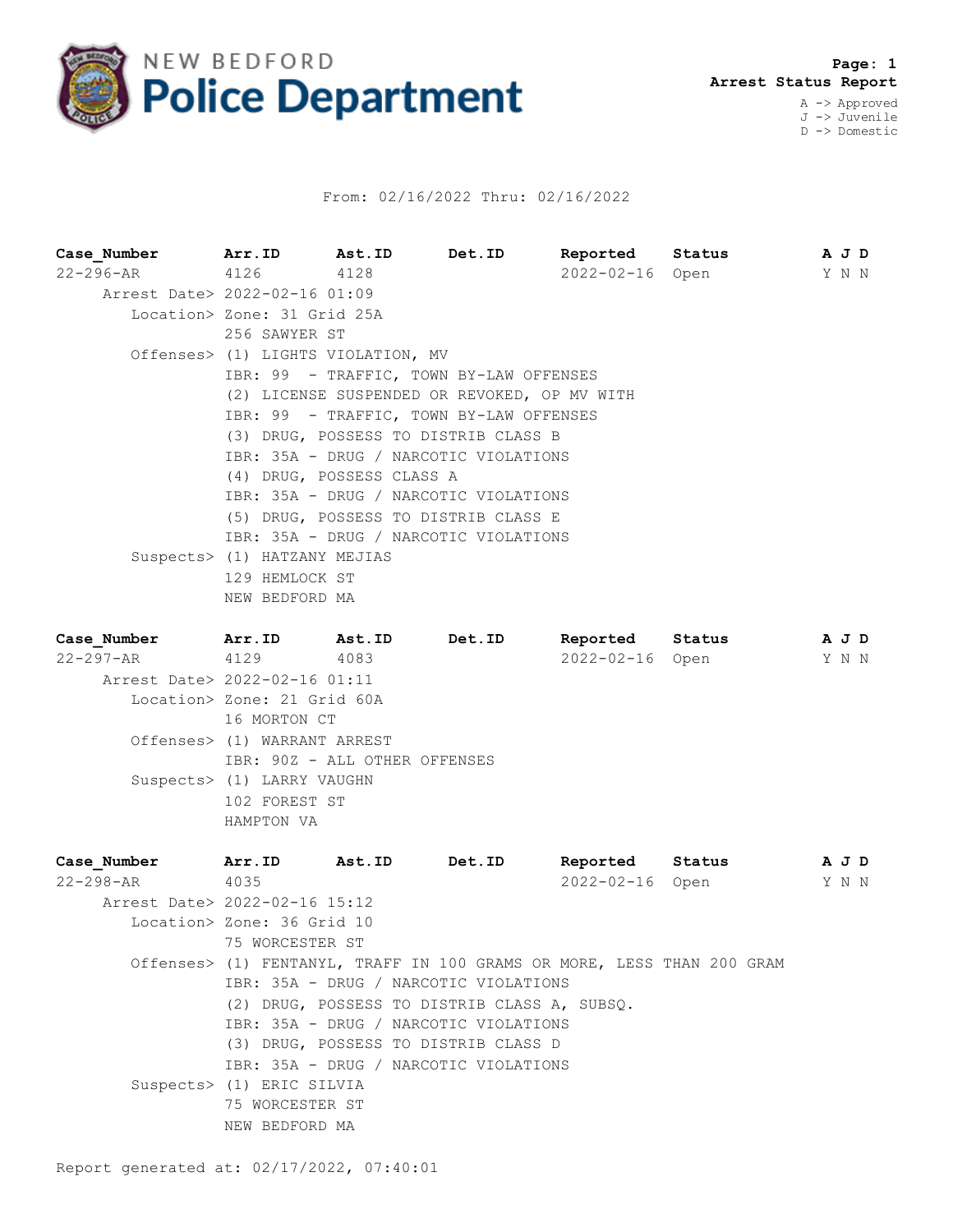

## From: 02/16/2022 Thru: 02/16/2022

**Case\_Number Arr.ID Ast.ID Det.ID Reported Status A J D** 22-296-AR 4126 4128 2022-02-16 Open Y N N Arrest Date> 2022-02-16 01:09 Location> Zone: 31 Grid 25A 256 SAWYER ST Offenses> (1) LIGHTS VIOLATION, MV IBR: 99 - TRAFFIC, TOWN BY-LAW OFFENSES (2) LICENSE SUSPENDED OR REVOKED, OP MV WITH IBR: 99 - TRAFFIC, TOWN BY-LAW OFFENSES (3) DRUG, POSSESS TO DISTRIB CLASS B IBR: 35A - DRUG / NARCOTIC VIOLATIONS (4) DRUG, POSSESS CLASS A IBR: 35A - DRUG / NARCOTIC VIOLATIONS (5) DRUG, POSSESS TO DISTRIB CLASS E IBR: 35A - DRUG / NARCOTIC VIOLATIONS Suspects> (1) HATZANY MEJIAS 129 HEMLOCK ST NEW BEDFORD MA **Case\_Number Arr.ID Ast.ID Det.ID Reported Status A J D** 22-297-AR 4129 4083 2022-02-16 Open Y N N Arrest Date> 2022-02-16 01:11 Location> Zone: 21 Grid 60A 16 MORTON CT Offenses> (1) WARRANT ARREST IBR: 90Z - ALL OTHER OFFENSES Suspects> (1) LARRY VAUGHN 102 FOREST ST HAMPTON VA **Case\_Number Arr.ID Ast.ID Det.ID Reported Status A J D** 22-298-AR 4035 2022-02-16 Open Y N N Arrest Date> 2022-02-16 15:12 Location> Zone: 36 Grid 10 75 WORCESTER ST Offenses> (1) FENTANYL, TRAFF IN 100 GRAMS OR MORE, LESS THAN 200 GRAM IBR: 35A - DRUG / NARCOTIC VIOLATIONS (2) DRUG, POSSESS TO DISTRIB CLASS A, SUBSQ.

- IBR: 35A DRUG / NARCOTIC VIOLATIONS
- (3) DRUG, POSSESS TO DISTRIB CLASS D
- IBR: 35A DRUG / NARCOTIC VIOLATIONS
- Suspects> (1) ERIC SILVIA 75 WORCESTER ST
	- NEW BEDFORD MA